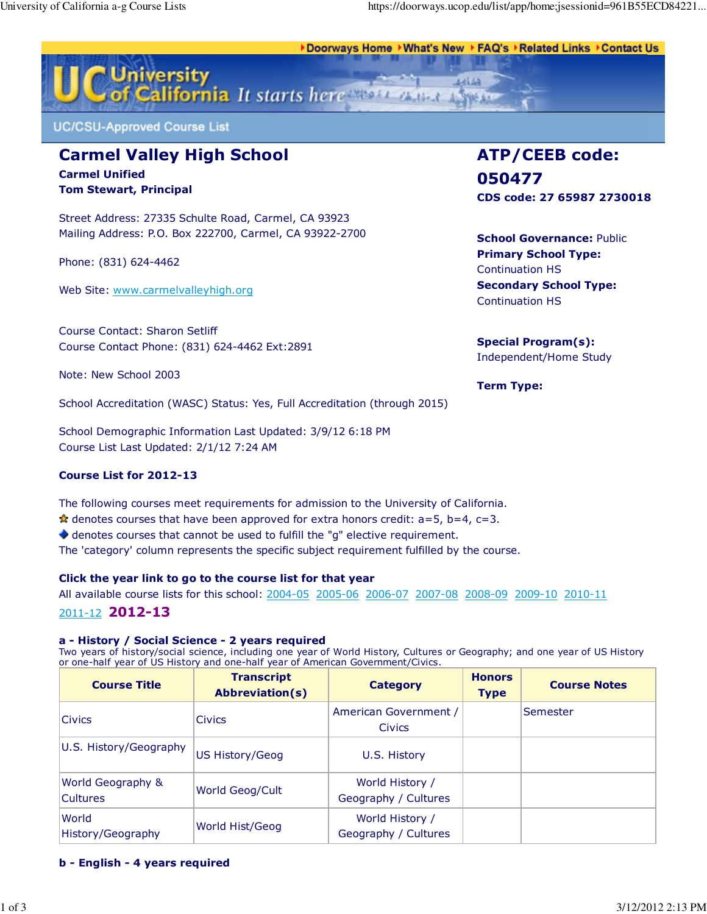Doorways Home ▶What's New ▶ FAQ's ▶Related Links ▶Contact Us ♦



**UC/CSU-Approved Course List** 

# Carmel Valley High School Carmel Unified

Tom Stewart, Principal

Street Address: 27335 Schulte Road, Carmel, CA 93923 Mailing Address: P.O. Box 222700, Carmel, CA 93922-2700

Phone: (831) 624-4462

Web Site: www.carmelvalleyhigh.org

Course Contact: Sharon Setliff Course Contact Phone: (831) 624-4462 Ext:2891

Note: New School 2003

School Accreditation (WASC) Status: Yes, Full Accreditation (through 2015)

School Demographic Information Last Updated: 3/9/12 6:18 PM Course List Last Updated: 2/1/12 7:24 AM

## Course List for 2012-13

The following courses meet requirements for admission to the University of California.

 $\star$  denotes courses that have been approved for extra honors credit: a=5, b=4, c=3.

denotes courses that cannot be used to fulfill the "g" elective requirement.

The 'category' column represents the specific subject requirement fulfilled by the course.

## Click the year link to go to the course list for that year

All available course lists for this school: 2004-05 2005-06 2006-07 2007-08 2008-09 2009-10 2010-11 2011-12 2012-13

# a - History / Social Science - 2 years required

Two years of history/social science, including one year of World History, Cultures or Geography; and one year of US History or one-half year of US History and one-half year of American Government/Civics.

| <b>Course Title</b>                             | <b>Transcript</b><br><b>Abbreviation(s)</b> | <b>Category</b>                         | <b>Honors</b><br><b>Type</b> | <b>Course Notes</b> |
|-------------------------------------------------|---------------------------------------------|-----------------------------------------|------------------------------|---------------------|
| <b>Civics</b>                                   | <b>Civics</b>                               | American Government /<br><b>Civics</b>  |                              | Semester            |
| U.S. History/Geography                          | <b>US History/Geog</b>                      | U.S. History                            |                              |                     |
| <b>World Geography &amp;</b><br><b>Cultures</b> | World Geog/Cult                             | World History /<br>Geography / Cultures |                              |                     |
| World<br>History/Geography                      | World Hist/Geog                             | World History /<br>Geography / Cultures |                              |                     |

## b - English - 4 years required

ATP/CEEB code: 050477 CDS code: 27 65987 2730018

**School Governance: Public** Primary School Type: Continuation HS Secondary School Type: Continuation HS

## Special Program(s): Independent/Home Study

Term Type: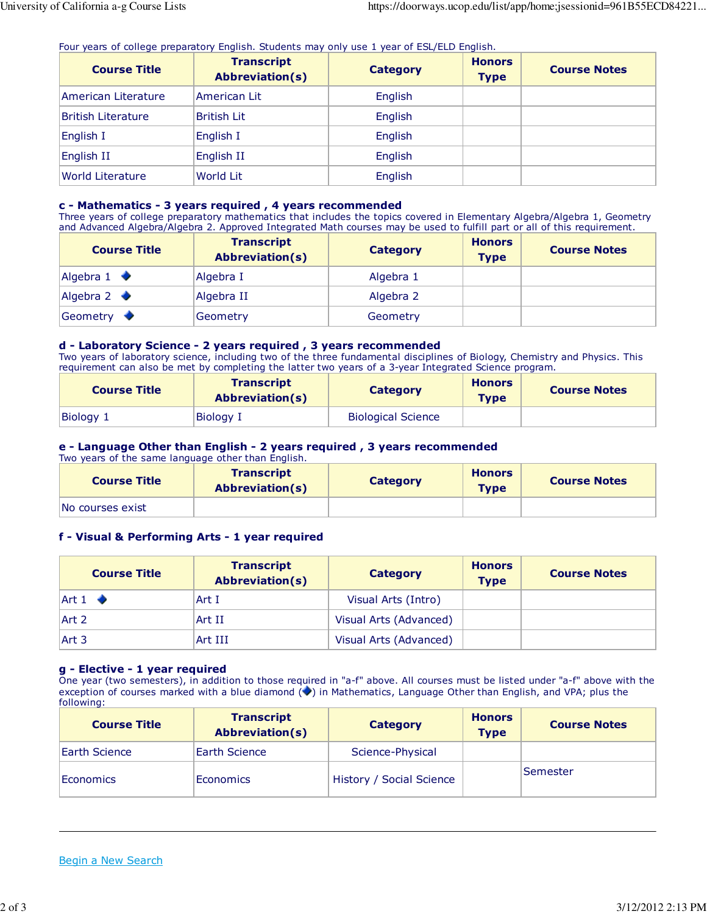Four years of college preparatory English. Students may only use 1 year of ESL/ELD English.

| <b>Course Title</b>       | <b>Transcript</b><br><b>Abbreviation(s)</b> | <b>Category</b> | <b>Honors</b><br><b>Type</b> | <b>Course Notes</b> |
|---------------------------|---------------------------------------------|-----------------|------------------------------|---------------------|
| American Literature       | American Lit                                | English         |                              |                     |
| <b>British Literature</b> | <b>British Lit</b>                          | English         |                              |                     |
| English I                 | English I                                   | English         |                              |                     |
| English II                | English II                                  | English         |                              |                     |
| <b>World Literature</b>   | <b>World Lit</b>                            | English         |                              |                     |

#### c - Mathematics - 3 years required , 4 years recommended

Three years of college preparatory mathematics that includes the topics covered in Elementary Algebra/Algebra 1, Geometry and Advanced Algebra/Algebra 2. Approved Integrated Math courses may be used to fulfill part or all of this requirement.

| <b>Course Title</b>         | <b>Transcript</b><br><b>Abbreviation(s)</b> | Category  | <b>Honors</b><br><b>Type</b> | <b>Course Notes</b> |
|-----------------------------|---------------------------------------------|-----------|------------------------------|---------------------|
| Algebra $1$ $\blacklozenge$ | Algebra I                                   | Algebra 1 |                              |                     |
| Algebra $2$ $\blacklozenge$ | Algebra II                                  | Algebra 2 |                              |                     |
| Geometry                    | Geometry                                    | Geometry  |                              |                     |

#### d - Laboratory Science - 2 years required , 3 years recommended

Two years of laboratory science, including two of the three fundamental disciplines of Biology, Chemistry and Physics. This requirement can also be met by completing the latter two years of a 3-year Integrated Science program.

| <b>Course Title</b> | <b>Transcript</b><br><b>Abbreviation(s)</b> | <b>Category</b>           | <b>Honors</b><br><b>Type</b> | <b>Course Notes</b> |
|---------------------|---------------------------------------------|---------------------------|------------------------------|---------------------|
| Biology 1           | <b>Biology I</b>                            | <b>Biological Science</b> |                              |                     |

# e - Language Other than English - 2 years required , 3 years recommended

Two years of the same language other than English.

| <b>Course Title</b> | <b>Transcript</b><br><b>Abbreviation(s)</b> | <b>Category</b> | <b>Honors</b><br><b>Type</b> | <b>Course Notes</b> |
|---------------------|---------------------------------------------|-----------------|------------------------------|---------------------|
| No courses exist    |                                             |                 |                              |                     |

## f - Visual & Performing Arts - 1 year required

| <b>Course Title</b>     | <b>Transcript</b><br><b>Abbreviation(s)</b> | Category               | <b>Honors</b><br><b>Type</b> | <b>Course Notes</b> |
|-------------------------|---------------------------------------------|------------------------|------------------------------|---------------------|
| Art $1$ $\blacklozenge$ | Art I                                       | Visual Arts (Intro)    |                              |                     |
| Art 2                   | Art II                                      | Visual Arts (Advanced) |                              |                     |
| Art 3                   | Art III                                     | Visual Arts (Advanced) |                              |                     |

#### g - Elective - 1 year required

One year (two semesters), in addition to those required in "a-f" above. All courses must be listed under "a-f" above with the exception of courses marked with a blue diamond  $\blacklozenge$  in Mathematics, Language Other than English, and VPA; plus the following:

| <b>Course Title</b> | <b>Transcript</b><br><b>Abbreviation(s)</b> | Category                 | <b>Honors</b><br><b>Type</b> | <b>Course Notes</b> |
|---------------------|---------------------------------------------|--------------------------|------------------------------|---------------------|
| Earth Science       | Earth Science                               | Science-Physical         |                              |                     |
| Economics           | <b>Economics</b>                            | History / Social Science |                              | Semester            |

#### Begin a New Search